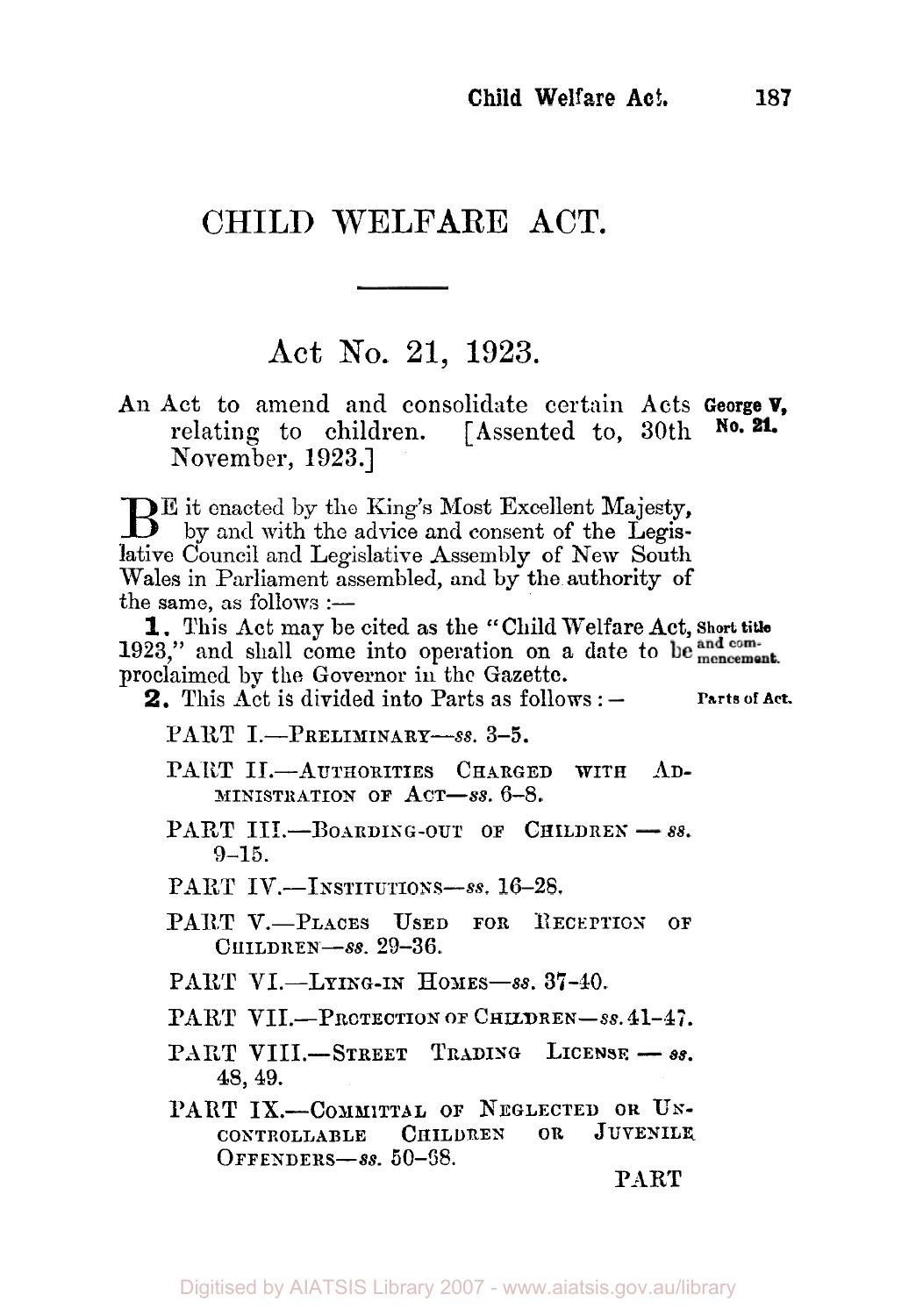# CHILD WELFARE **ACT.**

## **Act** No. **21, 1923.**

**An Act** to amend and consolidate certain Acts **George V,**  relating to children. [Assented to, 30th November, **1923.]** 

 $B<sup>E</sup>$  it enacted by the King's Most Excellent Majesty, by and with the advice and consent of the Legislative Council and Legislative Assembly of New South Wales in Parliament assembled, and by the authority of the same, as follows  $:$   $-$ 

**1923,"** and shall come into operation on a date to proclaimed by the Governor in the Gazette. **I.** This Act may be cited as the **c'** Child Welfare Act, **Short title** 

**2,** This Act is divided into Parts as follows : **Parts or Act.** 

PART I.-PRELIMINARY-8s. 3-5.

PART **II.**-AUTHORITIES CHARGED WITH AD-**MINISTRATION OF ACT-SS. 6-8.** 

PART III.-BOARDING-OUT OF CHILDREN - 88. **9-15.** 

PART IV.-INSTITUTIONS-8s. 16-28.

- PART V.-PLACES USED FOR RECEPTION OF **CHILDKEN-SS. 29-36.**
- **PART VI.-LYING-IN HONES-SS. 37-40.**

PART VII.-PROTECTION OF CHILDREN-SS. 41-47.

- PART VIII.-STREET TRADING LICENSE -88. **48,** 49.
- **PART IX.---COMMITTAL OF NEGLECTED OR UN-<br>
<b>CONTROLLABLE** CHILDREN OR JUVENILE CONTROLLABLE CHILDREN **OFFENDERS-SS.** 60-68.

**PART**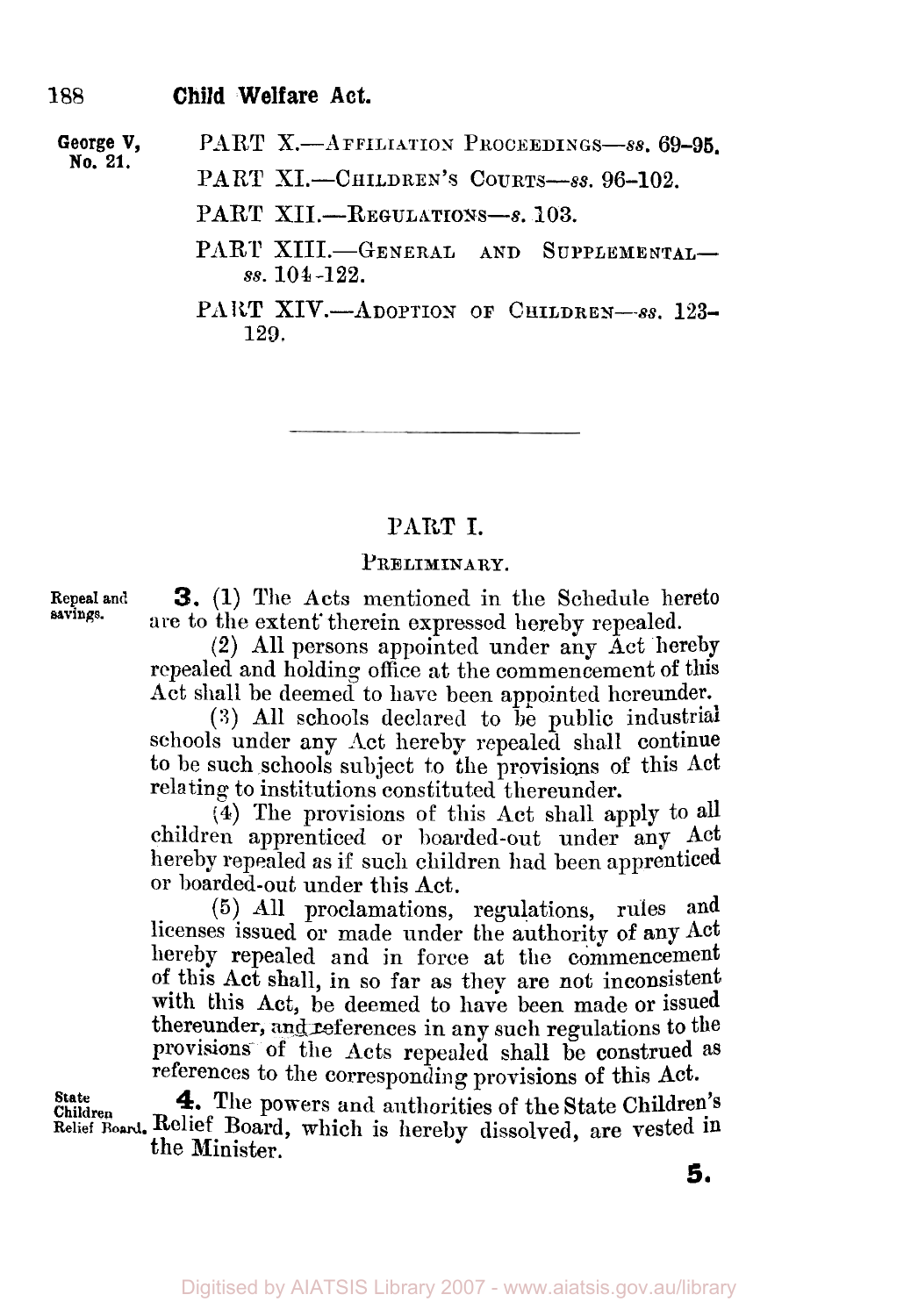**George V, No. 21.** 

PART **X.**—AFFILIATION PROCEEDINGS-88, 69-95.

PART XI.-CHILDREN'S COURTS-8s. 96-102.

- PART XII.-REGULATIONS-8, 103.
- PART XIII.-GENERAL AND SUPPLEMENTALss. **104-122.**

**129.**  PART XIV.-ADOPTION OF CHILDREN-88. 123-

### **PART I.**

#### **PRELIMINARY.**

**savings.** 

**Repeal and 3.** (1) The Acts mentioned in the Schedule hereto are to the extent therein expressed hereby repealed.

**(2)** All persons appointed under any Act hereby repealed and holding office at the commencement of this Act shall be deemed to have been appointed hereunder.

**(S)** All schools declared to be public industrial schools under any Act hereby repealed shall continue to be such schools subject to the provisions of this **Act**  relating to institutions constituted thereunder.

**(4)** The provisions of this Act shall apply to all children apprenticed or boarded-out under any Act hereby repealed as if such children had been apprenticed or boarded-out under this Act.

(5) All proclamations, regulations, rules and licenses issued or made under the authority of any Act hereby repealed and in force at the commencement **of** this Act shall, in so far as they are not inconsistent with this **Act,** be deemed to have been made or issued thereunder, and references in any such regulations to the provisions- of the Acts repealed shall be construed as references to the corresponding provisions of this Act.

**4.** The powers and authorities of the State Children's **Relief Board.** Relief Board, which is hereby dissolved, are vested in **Children State**  the Minister.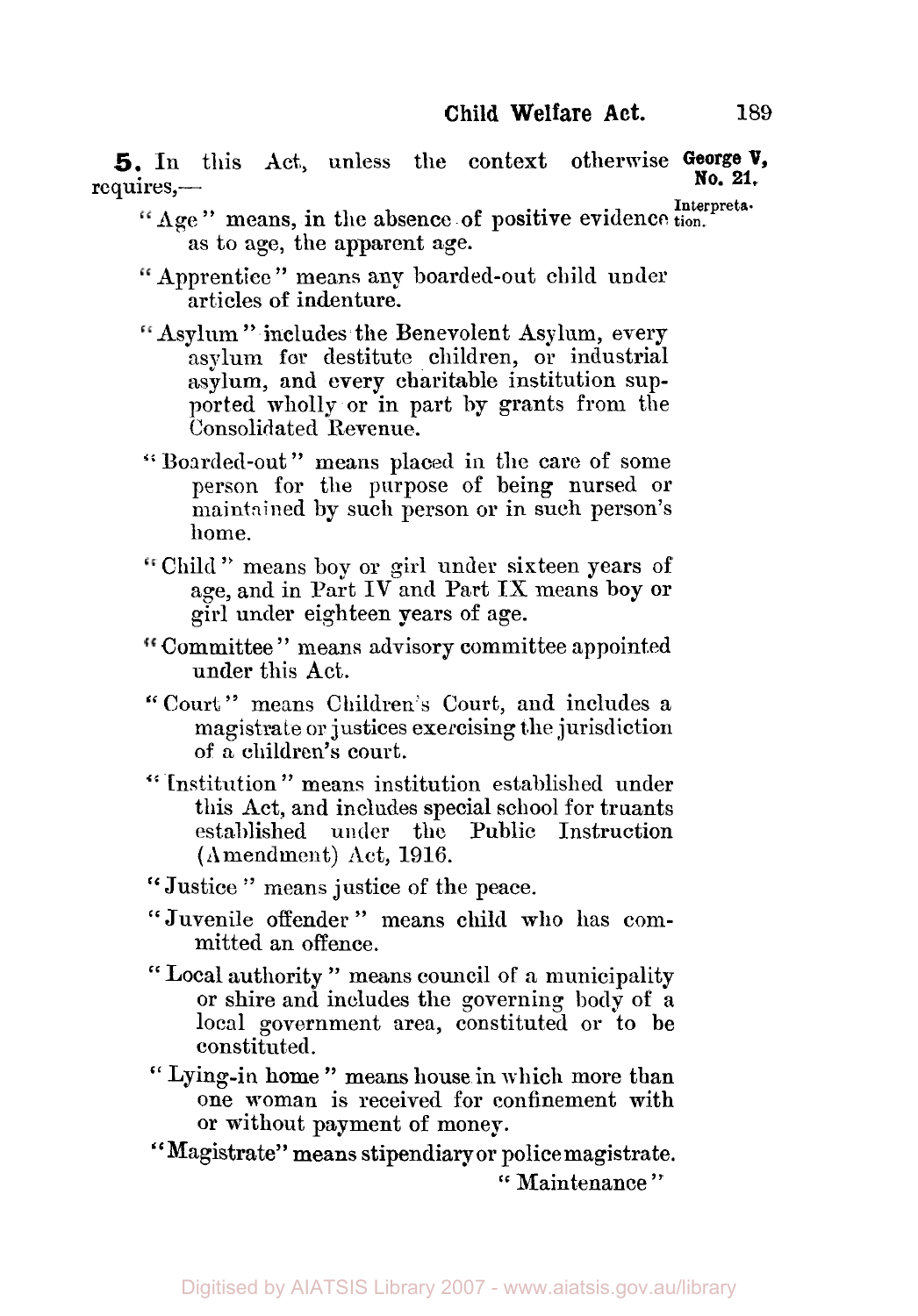**5.** In this Act, unless the context otherwise George **V**, requires,-

- **If** Age " means, in the absence of positive evidence tion. as to age, the apparent age.
- Apprentice " means any boarded-out child under articles of indenture.
- Asylum " includes the Benevolent Asylum, every asylum **for** destitute children, or industrial asylum, and every charitable institution supported wholly or in part **by** grants from the Consolidated Revenue.
- " Boarded-out " means placed in the care of some person for the purpose of being nursed or maintained by such person or in such person's home.
- Child " means boy or girl under sixteen years of age, and in Part IV and Part IX means boy **or**  girl under eighteen years of age.
- Committee " means advisory committee appointed under this Act.
- " Court " means Children's Court, and includes a magistrate or justices exercising the jurisdiction of a children's court.
- " Institution" means institution established under this Act, and includes special school for truants established under the Public Instruction (Amendment) Act, 1916.
- "Justice " means justice of the peace.
- " Juvenile offender " means child who has committed an offence.
- " Local authority " means council of **a** municipality or shire and includes the governing body of a local government area, constituted or to be constituted.
- " Lying-in home " means house in which more than one woman is received for confinement with or without payment of money.
- "Magistrate" means stipendiary or police magistrate. " Maintenance "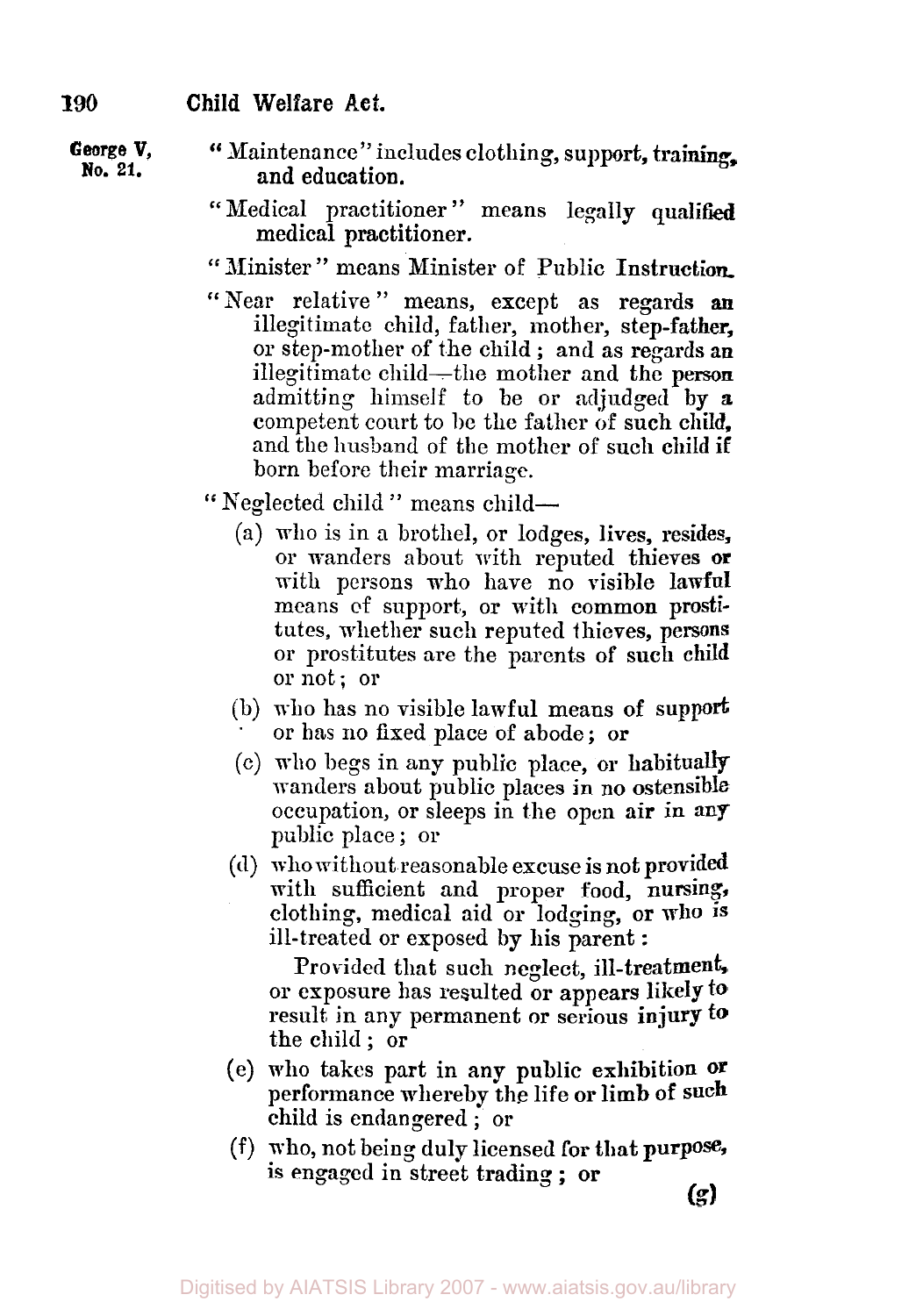- George V, "Maintenance" includes clothing, support, training, No. 21. **No. 21.** and education.
	- "Medical practitioner" means legally qualified medical practitioner.
	- " Minister" means Minister of Public Instruction.
	- "Near relative " means, **except** as regards *an*  illegitimate child, father, mother, **step-father,**  OF stepmother of the child ; and as **regards an**  illegitimate child—the mother and the person admitting himself to be or adjudged by **a**  competent court to be the father **of** such child, and the **husband** of the mother of such child if born before their marriage.

'' Neglected child " means child-

- (a) who is in **a** brothel, or lodges, lives, resides, or wanders about with reputed thieves **or**  with persons who have no visible **lawful**  means **of** support, or with common prostitutes, whether such reputed thieves, **persons**  or prostitutes are the parents of **such** child or not; or
- (b) who has no visible lawful means **of** support or has no fixed place of abode; **or**
- (c) who begs in any public place, **or** habitually wanders about public places in no ostensible occupation, or sleeps in the open **air** in **any**  public place ; or
- (d) **who** without reasonable excuse is not provided with sufficient and proper food, nursing, clothing, medical aid or lodging, **or who IS**  ill-treated or exposed **by** his parent :

Provided that such neglect, ill-treatment, or exposure has resulted or appears likely **to**  result, in any permanent or serious **injury to**  the child ; or

- **(e) who** takes part in any public exhibition **or**  performance whereby the life or limb **of** such child is endangered ; or
- **(f)** who, not being duly licensed **for** that **purpose,**  is engaged in street trading ; **or**

**(g)**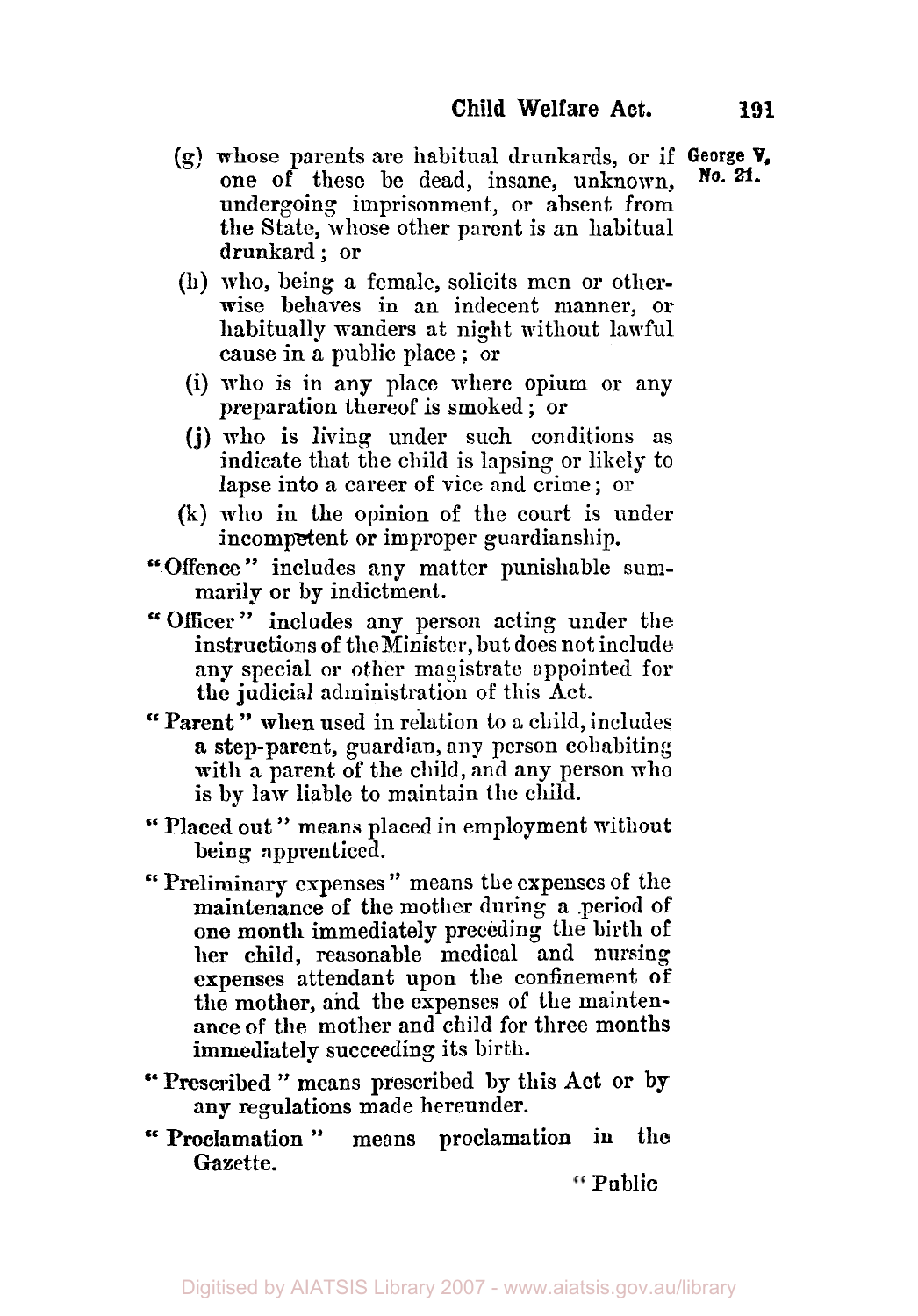- (g) **whose** parents are habitual drunkards, or if **George V,**  one of these be dead, insane, unknown, undergoing imprisonment, or absent from the State, whose other parent is an habitual drunkard; or
- (h) who, being a female, solicits men or otherwise behaves in an indecent manner, or habitually wanders at night without lawful cause in a public place ; or
- (i) who is in any place where opium or any preparation thereof is smoked ; or
- **(j)** who is living under such conditions **as**  indicate that the child is lapsing or likely to lapse into a career of vice and crime ; or
- (k) who in the opinion of the court is under incompetent or improper guardianship.
- "Offence" includes any matter punishable summarily or **by** indictment.
- "Officer" includes any person acting under the instructions of the Minister, but does not include any special or other magistrate appointed for **the** judicial administration of this Act.
- '' **Parent** " when used in relation to a child, includes **a** step-parent, guardian, **any** person cohabiting with a parent of the child, and any person who **is** by **law** liable to maintain the child.
- "Placed out " means placed in employment without being apprenticed.
- " Preliminary expenses " means the expenses **OF** the maintenance of the mother during **a** .period of **one** month immediately preceding the birth of her child, reasonable medical and nursing expenses attendant **upon** the confinement **of**  the mother, and the expenses of the maintenance **of** the mother and child for three months immediately succeeding its birth.
- " Prescribed " means prescribed by this Act or **by**  any regulations **made** hereunder.
- " Proclamation " **means** proclamation in the Gazette.

Public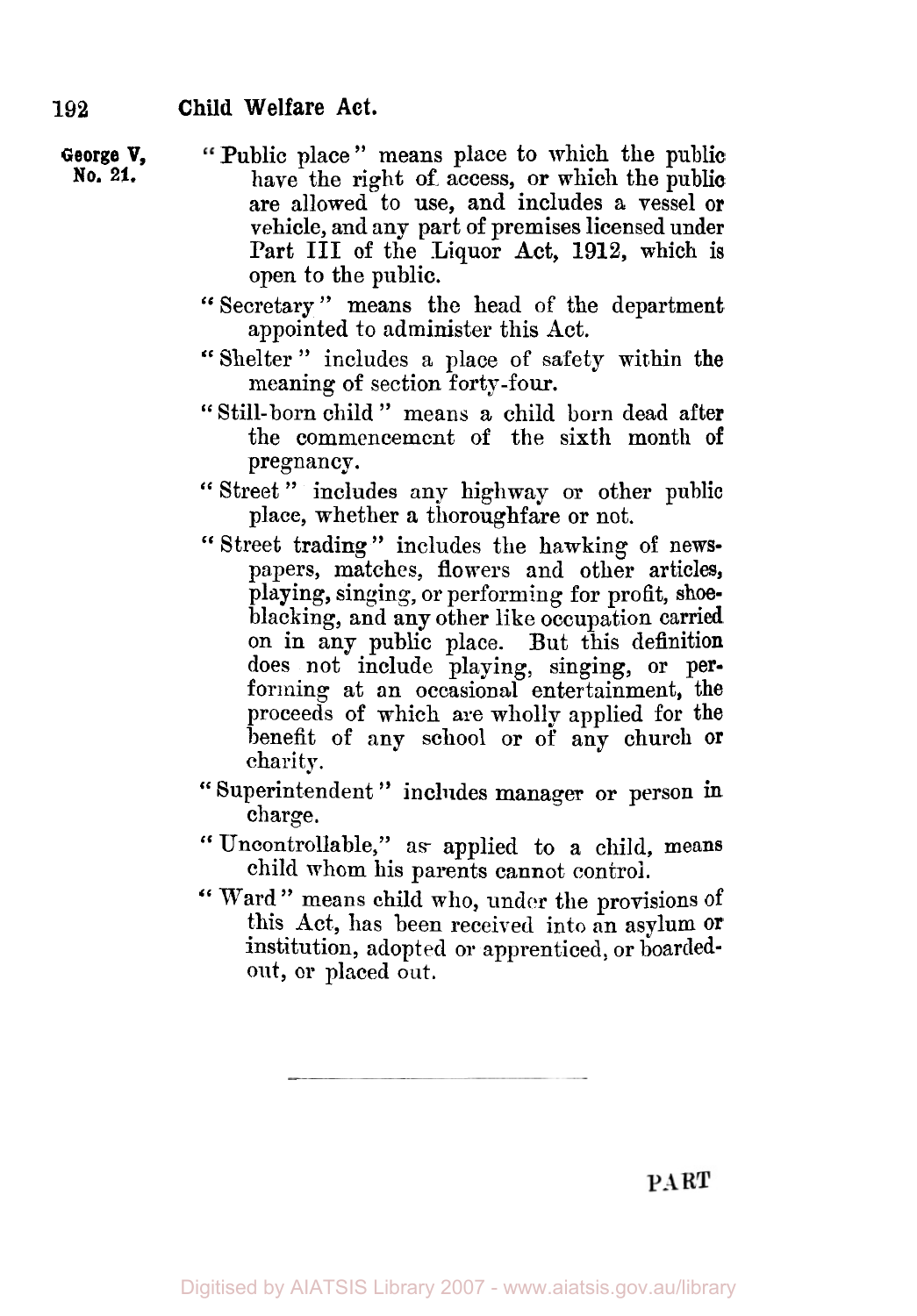**George V, No, 21.** 

- Public place " means place to which the public have the right **of** access, or which the public are allowed to use, and includes a vessel or vehicle, and any part of premises licensed under Part III **of** the Liquor Act, 1912, which is open to the public.
- '' Secretary " means the head of the department appointed to administer this Act.
- "Shelter" includes a place of safety within the meaning of section forty-four.
- " Still-born child " means a child born dead after the commencement of the sixth month **of**
- pregnancy.<br>
"Street" includes any highway or other public place, whether a thoroughfare or not.
- " Street trading " includes the hawking of newspapers, matches, flowers and other articles, playing, singing, or performing for profit, **shoe**blacking, and any other like occupation carried on in any public place. But this definition does not include playing, singing, or performing at an occasional entertainment, the proceeds of which are wholly applied for the benefit of any school or of any church or charity.
- " Superintendent " includes manager or person in charge.
- " Uncontrollable," as applied to a child, means child whom his parents cannot control.
- " Ward " means child who, under the provisions of this Act, has been received into an asylum **or**  institution, adopted or apprenticed, or boardedout, or placed out.

PART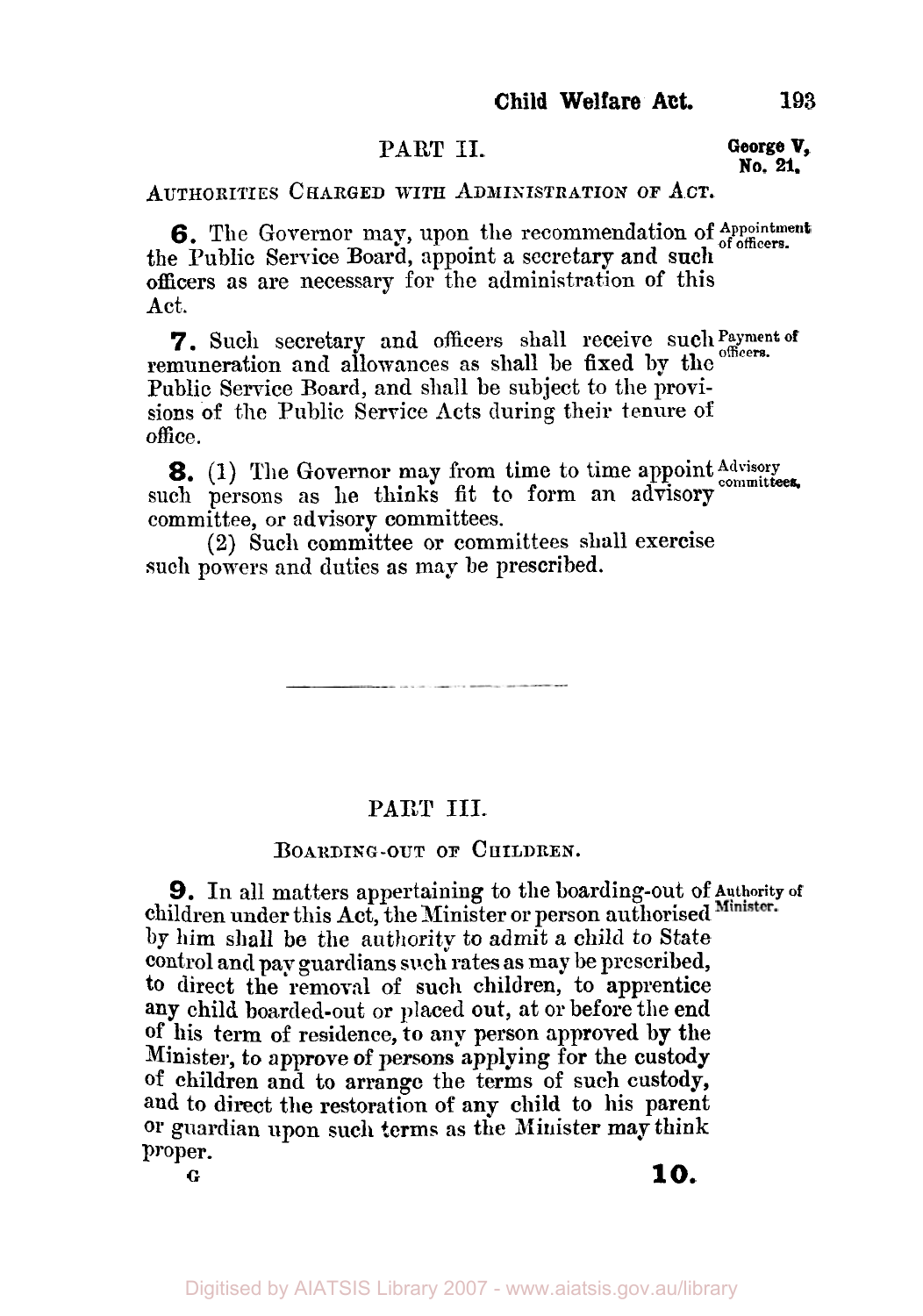## **PART II.**

#### **George V, No. 21.**

**AUTHORITIES CHARGED WITH ADMINISTRATION OF A.CT.** 

**6.** The Governor may, upon the recommendation of Appointment the Public Service Board, appoint a secretary and such of officers. officers as are necessary for the administration of this Act.

remuneration and allowances as shall **be** fixed by the Public Service Board, and shall be subject to the provisions of the Public Service Acts during their tenure of office. 7. Such secretary and officers shall receive such Payment of

such persons as he thinks fit to form an advisory committees, committee, **or** advisory committees. **8.** (1) The Governor may from time to time appoint Advisory

**(2)** Such committee or committees shall exercise such powers and duties as may be prescribed.

**CONTRACTOR** IN THE CONTRACTOR OF THE CONTRACTOR OF THE CONTRACTOR

## **SAKI III.**

### **BOARDING-OUT OF CHILDREN.**

**9.** In all matters appertaining to the boarding-out of **Authority of**  children under this Act, the Minister or person authorised Minister. by him shall **b0** the authority *to* admit *a* child *to* State control and pay guardians such rates **as** maybe prescribed, **to** direct **the** removal **of** such children, to apprentice **any** child boarded-out or placed out, at or before the end **of** his term **of** residence, **to** any person approved by the Minister, to **approve of** persons applying **for** the custody of children and to arrange the terms of such custody, **and** to direct the restoration of any child to his parent **or** guardian upon such **terms** as the Minister may **think**  Proper. *<sup>G</sup>***10.**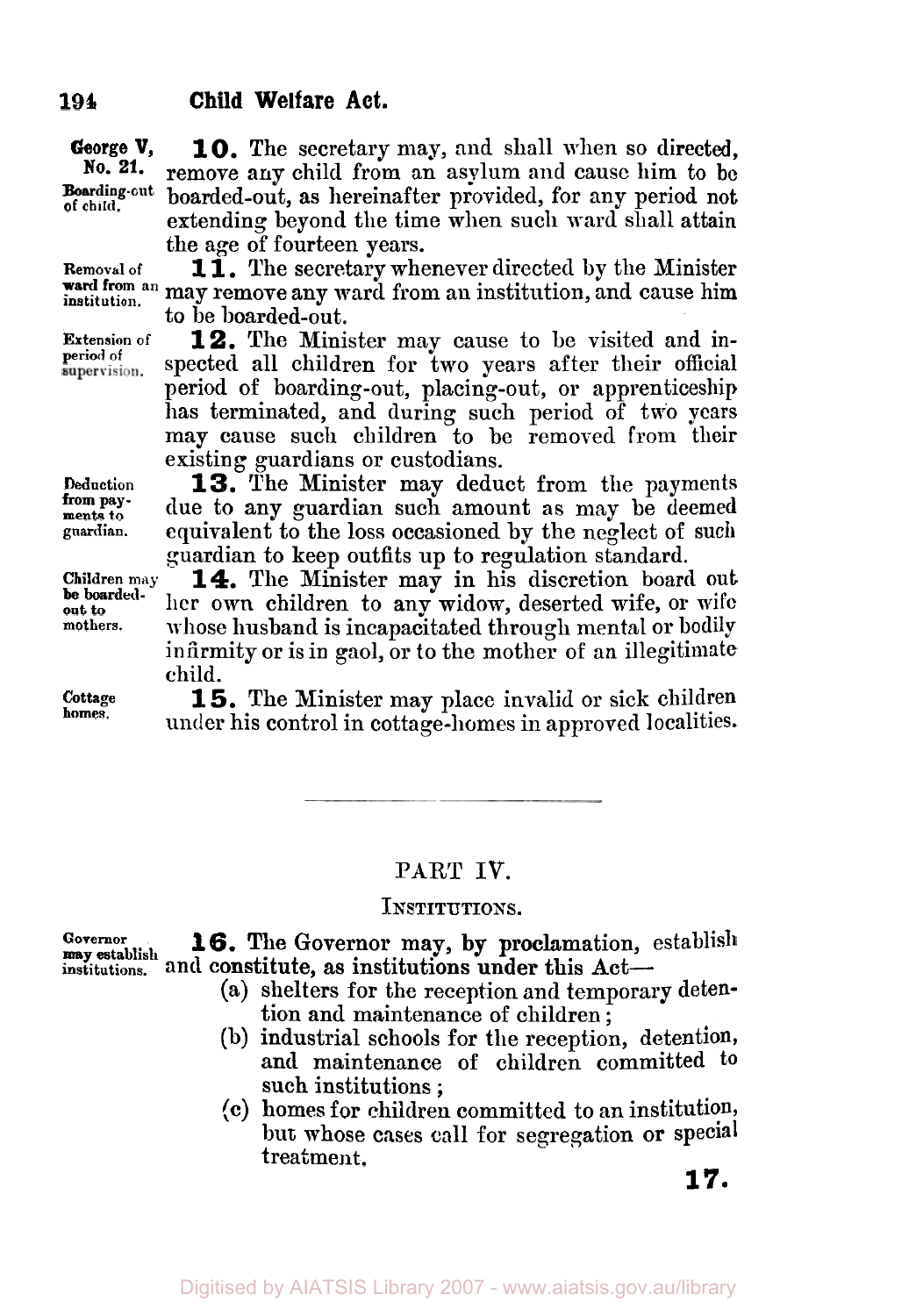**10.** The secretary may, and shall when so directed, **George V,**  No. 21. remove **any** child from an asylum and cause him to **be**  Boarding-cut boarded-out, as hereinafter provided, for any period not **of child.**  extending beyond the time when such ward shall attain the age of fourteen years.

**Removal of institution.** 

**Extension of period of** 

**1 1.** The secretary whenever directed by the Minister ward from an may remove any ward from an institution, and cause him to be boarded-out.

> **12.** The Minister may cause to be visited and inspected all children for two years after their official period of boarding-out, placing-out, or apprenticeship has terminated, and during such period of two years may cause such children to be removed from their existing guardians or custodians.

**Deduction ments to guardian. from pay-**

**Children may mothers. be boardedout** *to* 

**Cottage homes.** 

**13.** The Minister may deduct from the payments due to any guardian such amount as may be deemed equivalent to the loss occasioned by the neglect of **such**  guardian to keep outfits up to regulation standard.

**14.** The Minister may in his discretion board out her own children to any widow, deserted wife, or wife whose husband is incapacitated through mental or bodily infirmity or is in gaol, or to the mother of an illegitimate child.

**15.** The Minister may place invalid or sick children under his control in cottage-homes in approved localities.

### **PART IV.**

#### **INSTITUTIONS.**

**Governor**  institutions. and constitute, as institutions under this Act-**16.** The Governor may, by proclamation, establish **may establish** 

- (a) shelters for the reception and temporary detention and maintenance of children ;
- (b) industrial schools for the reception, detention, **and** maintenance of children committed to such institutions ;
- (c) homes for children committed to an institution, but whose cases call for segregation or special treatment.

#### Digitised by AIATSIS Library 2007 - www.aiatsis.gov.au/library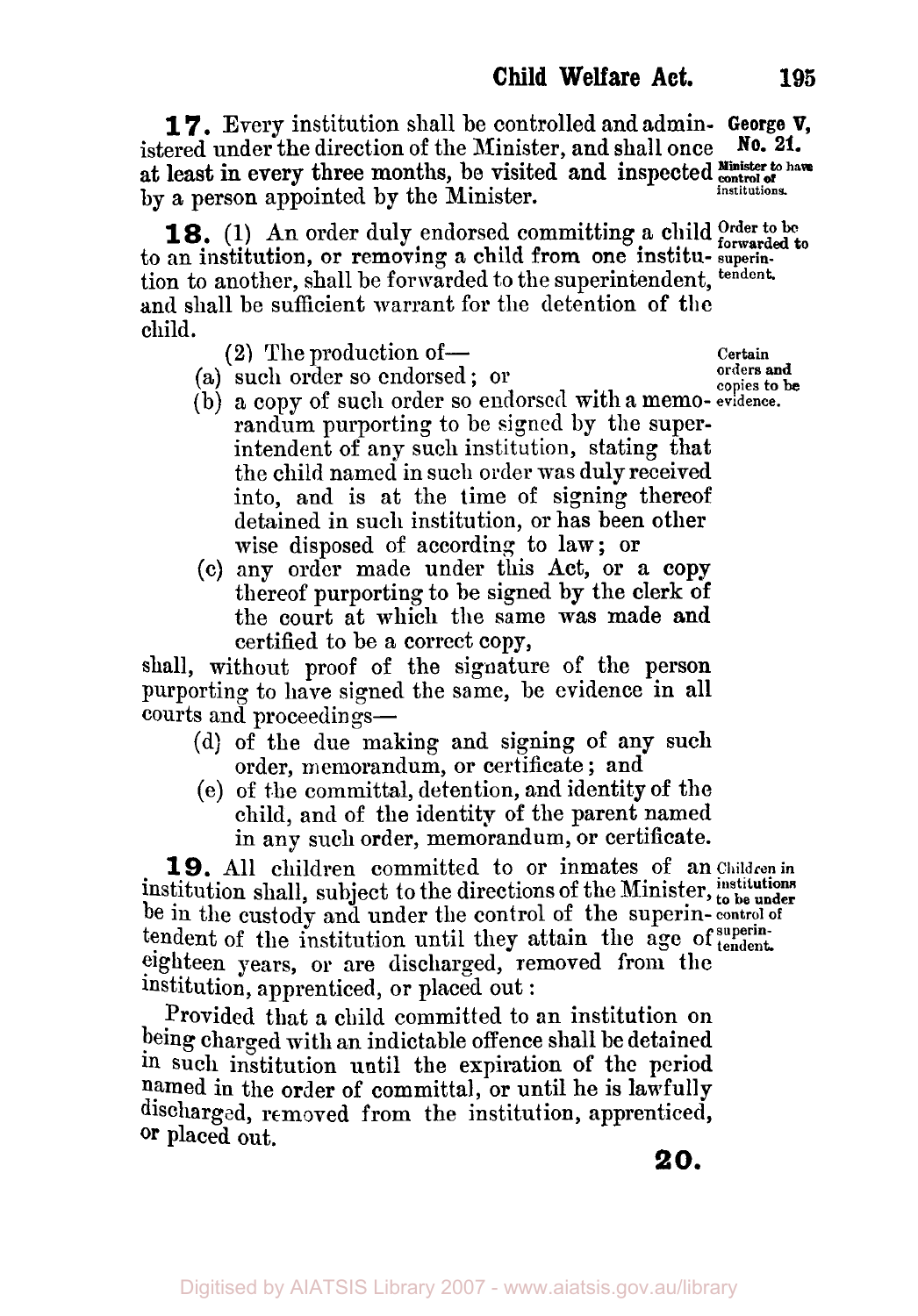**17.** Every institution shall be controlled and admin- **George V,**  istered under the direction of the Minister, and shall once by a person appointed by the Minister. **No. 21.**  at least in every three months, be visited and inspected *Ninister to have* **institutions** 

to an institution, or removing a child from one institu- **superin**tion to another, shall be forwarded to the superintendent, **tendent. and** shall be sufficient warrant for the detention **of** the child. **18.** (1) An order duly endorsed committing a child *Order* to be forwarded to

**(2)** The production of- **Certain** 

**copies to be** (a) such order so endorsed ; or

- (b) a copy of such order so endorsed with a memo- **evidence.**  randum purporting to be signed by the superintendent of any such institution, stating that the child named in such order was duly received into, and is at the time of signing thereof detained in such institution, or has been other wise disposed of according to law; or
- (c) any order made under this Act, or a copy thereof purporting to be signed by the clerk of the court at which the same **was** made and certified to be a correct copy,

shall, without proof of the signature of the person purporting to have signed the same, be evidence in all courts and proceedings-

- (d) of the due making and signing of any such order, memorandum, or certificate ; and
- (e) of the committal, detention, and identity of the child, and of the identity of the parent named in any such order, memorandum, or certificate.

**19.** All children committed to or inmates of an **Children in**  institution shall, subject to the directions of the Minister, to be under be in the custody and under the control of the superin- **control of**  tendent of the institution until they attain the age of superintendent. eighteen years, or are discharged, removed from the institution, apprenticed, or placed out :

Provided that a child committed to **an** institution on being charged with an indictable offence shall be detained in such institution until the expiration of the period named in the order of committal, or until he is lawfully discharged, removed from the institution, apprenticed, **Or** placed out,

*20.* 

**orders and**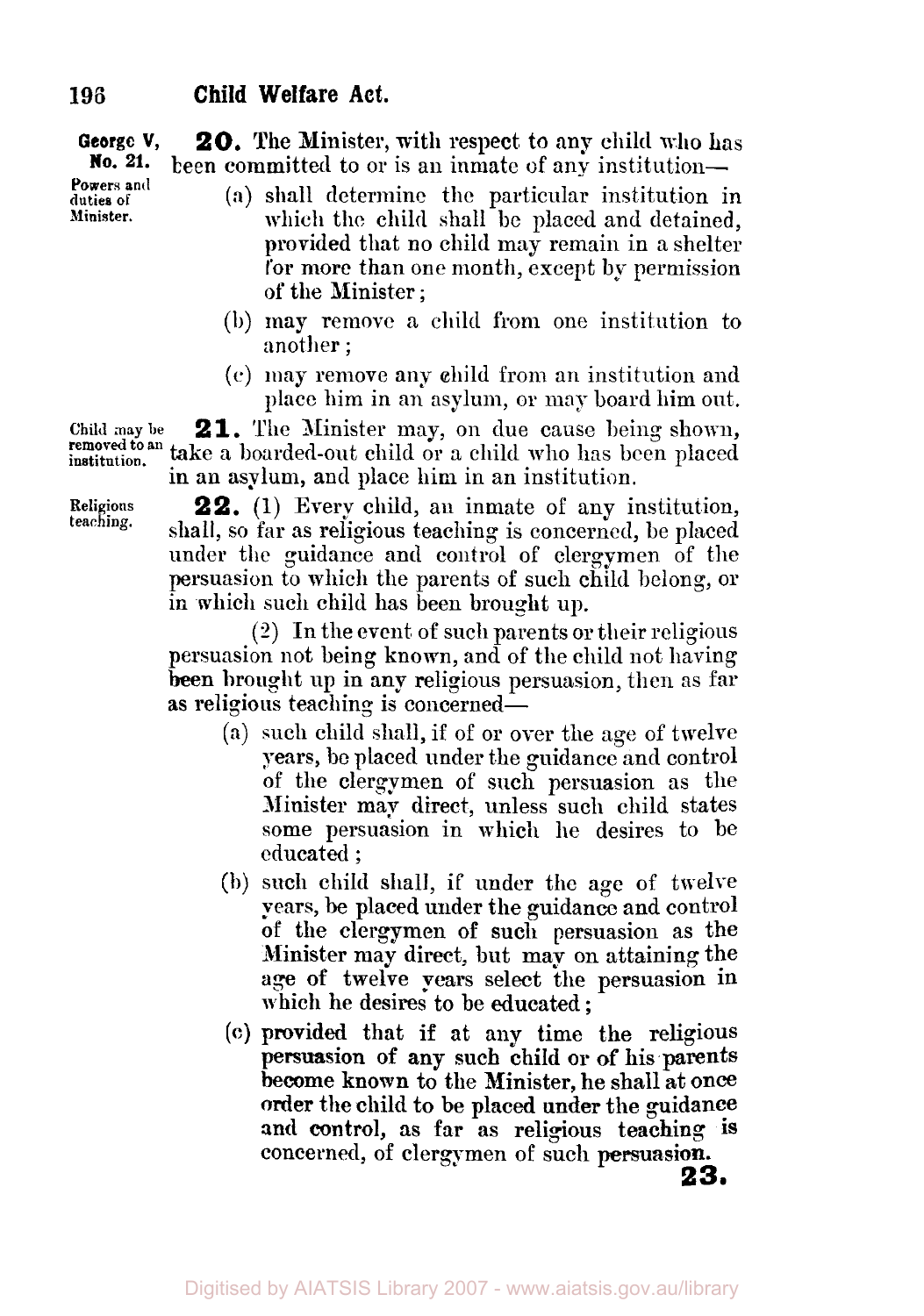**George V, No. 21.** been committed to or is an inmate of any institution-**20.** The Minister, with respect to any child who has **Powers and** 

- **(a)** shall determine the particular institution in which the child shall be placed and detained, provided that no child may remain in **a** shelter for **more** than one month, except by permission of the Minister ;
- (b) may remove a child from one institution to another ;
- *(c)* may remove any child from an institution and place him in an asylum, or may board him out.

**2 1.** The Minister may, **on** due cause being shown, take a boarded-out child or a child who has been placed in an asylum, and place him in an institution. **Child may be removed** *to* **an institution.** 

**Religions teaching.** 

**duties of Minister.** 

> **22.** (1) Every child, an inmate of any institution, shall, so far as religious teaching is concerned, be placed under the guidance and control of clergymen of the persuasion *to* which the parents of such child belong, or in which such child has been brought up.

> **(2)** In the event of such parents or their religious persuasion not being known, and of the child not having been brought up in any religious persuasion, then as far **as** religious teaching is concerned-

- (a) such child shall, if of or over the age of twelve years, be placed under the guidance and control of the clergymen of such persuasion as the Minister map direct, unless such child states some persuasion in which he desires to be educated ;
- (b) such child shall, if under the age of twelve pears, be placed under the guidance and control **of** the clergymen of such persuasion as the Minister **may** direct, But map on attaining the age **of** twelve pears select the persuasion in which he desires to be educated ;
- **(C)** provided that if at any time the religious **persuasion of** any such child or of **his** parents become **known** to the Minister, he shall at **once**  order **the** child to be placed **under** the guidance **and control,** as far as religious teaching **is**  concerned, of clergymen of such **persuasion.**

**23,**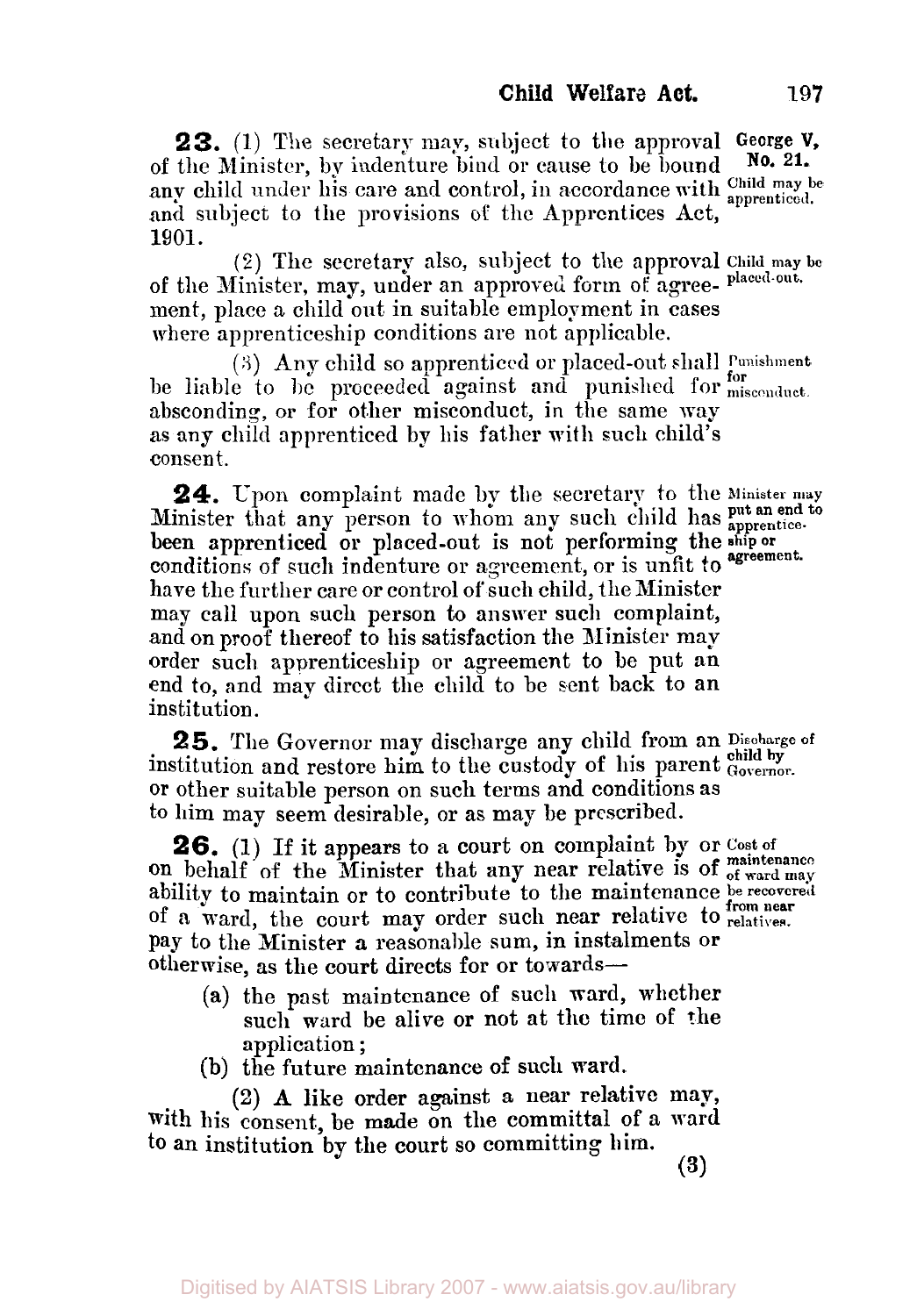**23.** (1) The secretary may, subject to the approval **George V,**  of the Minister, by indenture bind or cause to be bound any child under his care and control, in accordance with apprenticed. and subject to the provisions **of** the Apprentices Act, **1901. No. 21.** 

(2) The secretary also, subject to the approval **ChiId may be**  of the Minister, may, under an approved form **of** agree- **placed-out.**  ment, place a child out in suitable employment in cases where apprenticeship conditions are not applicable.

(S) **Any** child so apprenticed or placed-out shall **Punishment**  be liable to **be** proceeded against and punished for **misconduct for**  absconding, or for other misconduct, in the same way **as** any child apprenticed by his father with such child's consent.

**24.** Upon complaint made by the secretary to the **Minister may put an end to**  Minister that any person to whom any such child has put an end to **agreement.** been apprenticed or placed-out is not performing the **ship or**  conditions of such indenture or agreement, or is unfit to agreement. have the further care or control of such child, the Minister may call upon such person to answer such complaint, and on proof thereof to his satisfaction the Minister may order such apprenticeship or agreement to be put an end to, and may direct the child to be sent back to an institution.

institution and restore him to the custody of his parent **Governor**. or other suitable person on such terms and conditions as to him may seem desirable, or as may be prescribed. 25. The Governor may discharge any child from an Discharge of

**26. (1)** If it appears to a court on complaint **by** or **cost of**  ability to maintain or to contribute to the maintenance **be recovered**  of a ward, the court may order such near relative to **relatives. from near**  pay to the Minister **a** reasonable sum, in instalments or otherwise, **as** the court directs **for** or towards on behalf of the Minister that any near relative is of **maintenance** 

- **(a)** the past maintenance of such ward, whether such ward be alive or not at the time of the application ;
- (b) the future maintenance of such ward.

**(2) A** like order against a near relative may, with his consent, be made on the committal **of** a ward to **an** institution **by** the court so committing him.

**(3)**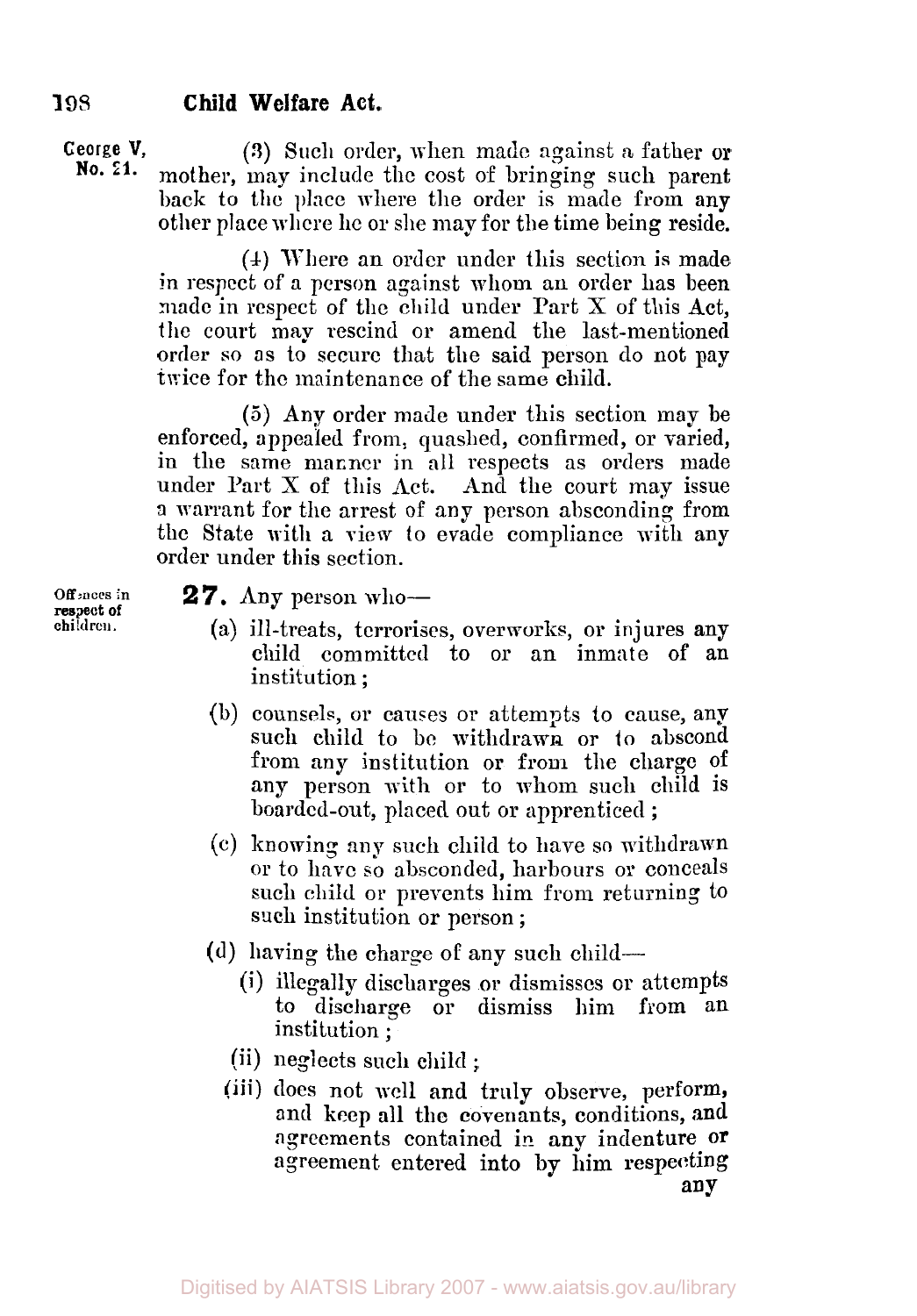**George V, (3)** Such order, when made against a father or<br>**No. 21.** mother may include the cost of hypning such narent mother, may include the cost of bringing such parent back to the place where the order is made from any other place **where** lie or she may for the time being reside.

> (4) Where an order under this section is made in respect of a person against whom an order has been made in respect **of** the child under Part X of this Act, the court may rescind or amend the last-mentioned order so as to secure that the said person do not pay twice for the maintenance of the same child.

> (5) Any order made under this section may be enforced, appealed **from:** quashed, confirmed, or varied, in the same manner in all respects as orders made under Part  $X$  of this  $Act.$  And the court may issue **a** warrant for the arrest of any person absconding from the State with a view to evade compliance with any order under this section.

**2** *7.* Any person who-

- (a) ill-treats, terrorises, overworks, or injures any child committed to or an inmate of an institution ;
- (b) counsels, or causes or attempts *to* cause, any such child to be withdrawn or to abscond from any institution or from the charge of any person with or to whom such child is boarded-out, placed out or apprenticed ;
- (c) knowing my such child to have so withdrawn or to have so absconded, harbours or conceals such child or prevents him from returning to such institution or person ;
- (d) having the charge of any such child-
	- **(i)** illegally discharges or dismisses or attempts to discharge or dismiss him from an institution ;
	- institution ;<br>(ii) neglects such child ;
	- **(iii)** does not well and truly observe, perform, and **keep** all the covenants, conditions, **and**  agreements contained in any indenture **or**  agreement entered into by him respecting **any**

**Offences in children. respect of**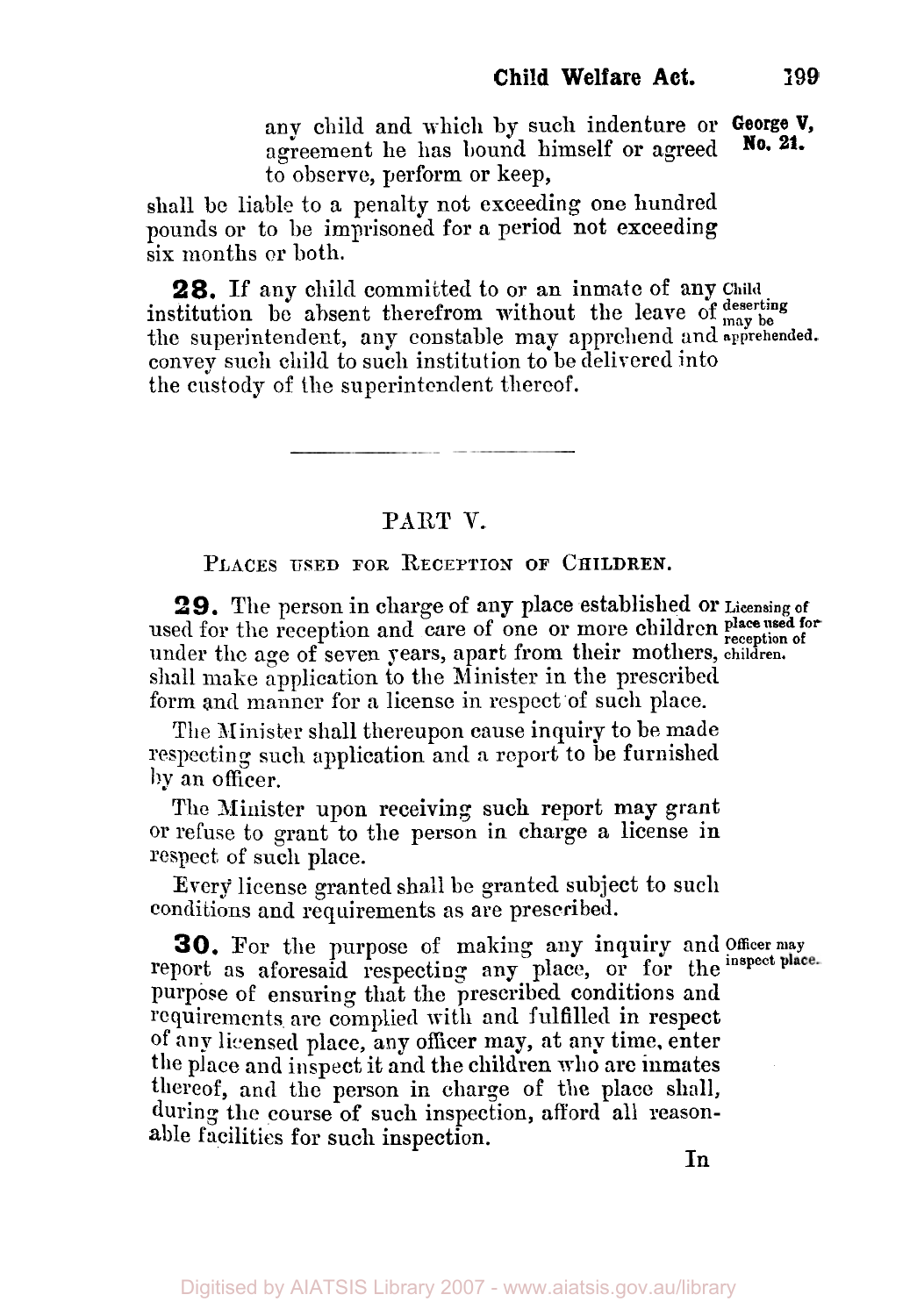any child and which by such indenture or **George V,**  agreement he has bound himself or agreed to observe, perform or keep, **No. 21.** 

shall be liable to a penalty not exceeding one hundred pounds or to be imprisoned for a period not exceeding six months or both.

**28.** If any child committed to or an inmate of any **Child**  institution be absent therefrom without the leave of  $\frac{d}{may \log x}$ the superintendent, any constable may apprehend and apprehended. convey such child to such institution to be delivered into the custody of the superintendent thereof.

PART V.

PLACES USED FOR RECEPTION OF CHILDREN.

**29.** The person in charge of any place established or **Licensing of**  used for the reception and care of one or more children **place used for** under the age of seven years, apart from their mothers, children. shall make application to the Minister in the prescribed form and manner for a license in respect of such place.

The Minister shall thereupon cause inquiry to be made respecting such application and a report to be furnished by an officer.

The Minister upon receiving such report **may** grant T or refuse to grant to the person in charge a license in respect of such place.

Every license granted shall be granted subject to such conditions and requirements as are prescribed.

**30.** For the purpose of making any inquiry and **Officer may**  report as aforesaid respecting any place, or for the inspect place. purpose **of** ensuring that the prescribed conditions and requirements are complied with and fulfilled in respect of **any** licensed place, any officer may, at any time, enter the place and inspect it and the children who are inmates thereof, and the person in charge of the place shall, during the course of such inspection, afford all reasonable facilities for such inspection.